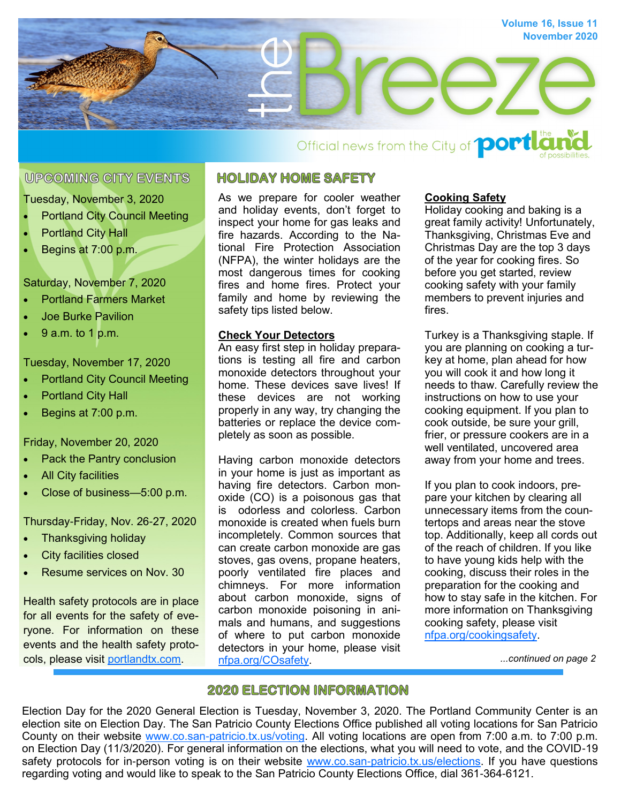

Official news from the City of **portle** 

# **UPCOMING CITY EVENTS**

Tuesday, November 3, 2020

- **Portland City Council Meeting**
- **Portland City Hall**
- Begins at 7:00 p.m.

Saturday, November 7, 2020

- Portland Farmers Market
- Joe Burke Pavilion
- 9 a.m. to 1 p.m.

#### Tuesday, November 17, 2020

- Portland City Council Meeting
- Portland City Hall
- Begins at 7:00 p.m.

Friday, November 20, 2020

- Pack the Pantry conclusion
- **All City facilities**
- Close of business-5:00 p.m.

Thursday-Friday, Nov. 26-27, 2020

- Thanksgiving holiday
- **City facilities closed**
- Resume services on Nov. 30

Health safety protocols are in place for all events for the safety of everyone. For information on these events and the health safety protocols, please visit [portlandtx.com.](http://www.portlandtx.com)

## **HOLIDAY HOME SAFETY**

As we prepare for cooler weather and holiday events, don't forget to inspect your home for gas leaks and fire hazards. According to the National Fire Protection Association (NFPA), the winter holidays are the most dangerous times for cooking fires and home fires. Protect your family and home by reviewing the safety tips listed below.

#### **Check Your Detectors**

An easy first step in holiday preparations is testing all fire and carbon monoxide detectors throughout your home. These devices save lives! If these devices are not working properly in any way, try changing the batteries or replace the device completely as soon as possible.

Having carbon monoxide detectors in your home is just as important as having fire detectors. Carbon monoxide (CO) is a poisonous gas that is odorless and colorless. Carbon monoxide is created when fuels burn incompletely. Common sources that can create carbon monoxide are gas stoves, gas ovens, propane heaters, poorly ventilated fire places and chimneys. For more information about carbon monoxide, signs of carbon monoxide poisoning in animals and humans, and suggestions of where to put carbon monoxide detectors in your home, please visit [nfpa.org/COsafety.](https://www.nfpa.org/-/media/Files/Public-Education/Resources/Safety-tip-sheets/COSafety.ashx)

#### **Cooking Safety**

Holiday cooking and baking is a great family activity! Unfortunately, Thanksgiving, Christmas Eve and Christmas Day are the top 3 days of the year for cooking fires. So before you get started, review cooking safety with your family members to prevent injuries and fires.

Turkey is a Thanksgiving staple. If you are planning on cooking a turkey at home, plan ahead for how you will cook it and how long it needs to thaw. Carefully review the instructions on how to use your cooking equipment. If you plan to cook outside, be sure your grill, frier, or pressure cookers are in a well ventilated, uncovered area away from your home and trees.

If you plan to cook indoors, prepare your kitchen by clearing all unnecessary items from the countertops and areas near the stove top. Additionally, keep all cords out of the reach of children. If you like to have young kids help with the cooking, discuss their roles in the preparation for the cooking and how to stay safe in the kitchen. For more information on Thanksgiving cooking safety, please visit [nfpa.org/cookingsafety.](https://www.nfpa.org/Public-Education/Fire-causes-and-risks/Seasonal-fire-causes/Thanksgiving) 

*...continued on page 2*

## **2020 ELECTION INFORMATION**

Election Day for the 2020 General Election is Tuesday, November 3, 2020. The Portland Community Center is an election site on Election Day. The San Patricio County Elections Office published all voting locations for San Patricio County on their website [www.co.san-patricio.tx.us/voting.](http://www.co.san-patricio.tx.us/upload/page/5572/docs/Elections/Early%20Voting%20-%20Election%20Day%20Schedule/Early%20Voting%20and%20Election%20Day%20Schedule%202020%20General%20Election.pdf) All voting locations are open from 7:00 a.m. to 7:00 p.m. on Election Day (11/3/2020). For general information on the elections, what you will need to vote, and the COVID-19 safety protocols for in-person voting is on their website [www.co.san-patricio.tx.us/elections.](http://www.co.san-patricio.tx.us/page/sanpatricio.Elections) If you have questions regarding voting and would like to speak to the San Patricio County Elections Office, dial 361-364-6121.